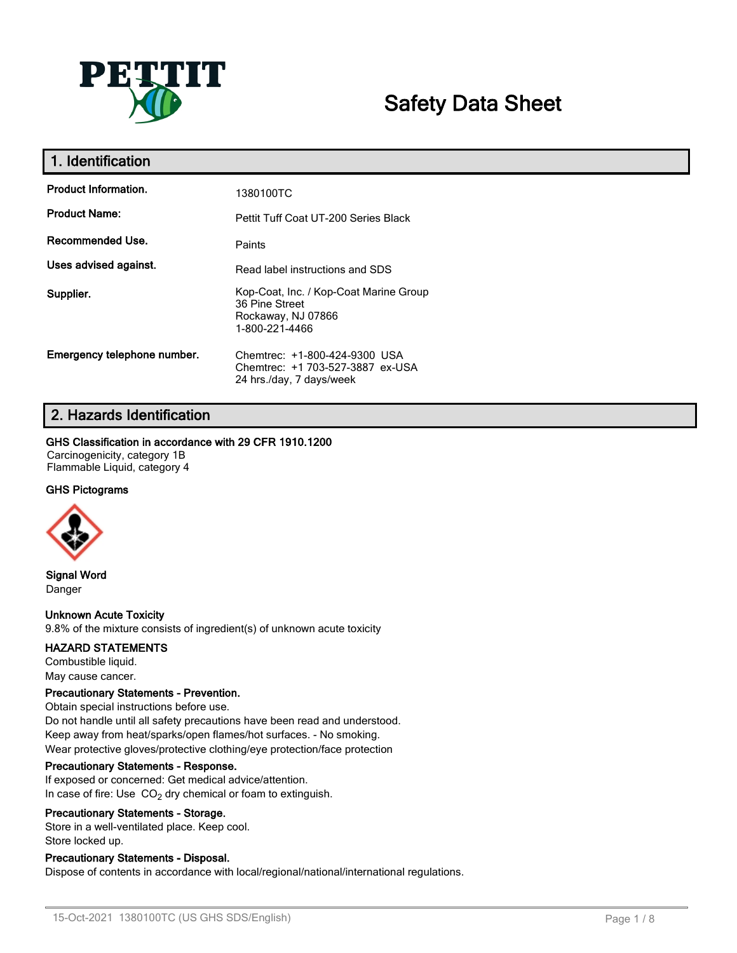

# **Safety Data Sheet**

| 1. Identification           |                                                                                                  |
|-----------------------------|--------------------------------------------------------------------------------------------------|
| <b>Product Information.</b> | 1380100TC                                                                                        |
| <b>Product Name:</b>        | Pettit Tuff Coat UT-200 Series Black                                                             |
| Recommended Use.            | Paints                                                                                           |
| Uses advised against.       | Read label instructions and SDS                                                                  |
| Supplier.                   | Kop-Coat, Inc. / Kop-Coat Marine Group<br>36 Pine Street<br>Rockaway, NJ 07866<br>1-800-221-4466 |
| Emergency telephone number. | Chemtrec: +1-800-424-9300 USA<br>Chemtrec: +1 703-527-3887 ex-USA<br>24 hrs./day, 7 days/week    |

## **2. Hazards Identification**

#### **GHS Classification in accordance with 29 CFR 1910.1200**

Carcinogenicity, category 1B Flammable Liquid, category 4

## **GHS Pictograms**



**Signal Word** Danger

## **Unknown Acute Toxicity**

9.8% of the mixture consists of ingredient(s) of unknown acute toxicity

#### **HAZARD STATEMENTS**

Combustible liquid. May cause cancer.

#### **Precautionary Statements - Prevention.**

Obtain special instructions before use. Do not handle until all safety precautions have been read and understood. Keep away from heat/sparks/open flames/hot surfaces. - No smoking. Wear protective gloves/protective clothing/eye protection/face protection

#### **Precautionary Statements - Response.**

If exposed or concerned: Get medical advice/attention. In case of fire: Use  $CO<sub>2</sub>$  dry chemical or foam to extinguish.

#### **Precautionary Statements - Storage.**

Store in a well-ventilated place. Keep cool. Store locked up.

## **Precautionary Statements - Disposal.**

Dispose of contents in accordance with local/regional/national/international regulations.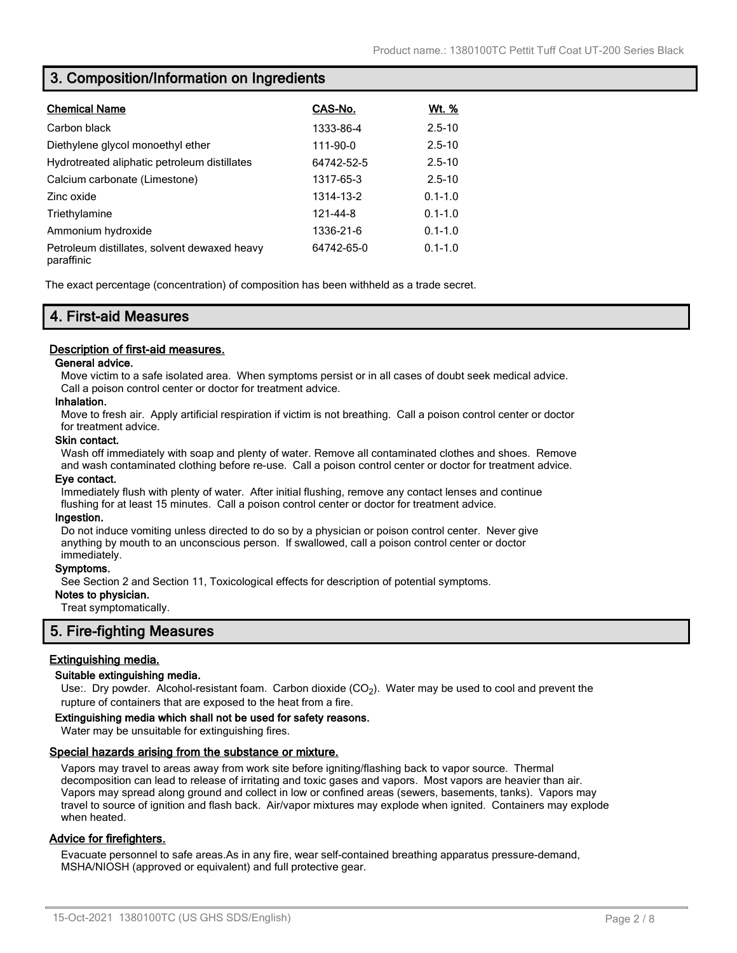## **3. Composition/Information on Ingredients**

| <b>Chemical Name</b>                                       | CAS-No.    | <u>Wt. %</u> |
|------------------------------------------------------------|------------|--------------|
| Carbon black                                               | 1333-86-4  | $2.5 - 10$   |
| Diethylene glycol monoethyl ether                          | 111-90-0   | $2.5 - 10$   |
| Hydrotreated aliphatic petroleum distillates               | 64742-52-5 | $2.5 - 10$   |
| Calcium carbonate (Limestone)                              | 1317-65-3  | $2.5 - 10$   |
| Zinc oxide                                                 | 1314-13-2  | $0.1 - 1.0$  |
| Triethylamine                                              | 121-44-8   | $0.1 - 1.0$  |
| Ammonium hydroxide                                         | 1336-21-6  | $0.1 - 1.0$  |
| Petroleum distillates, solvent dewaxed heavy<br>paraffinic | 64742-65-0 | $0.1 - 1.0$  |

The exact percentage (concentration) of composition has been withheld as a trade secret.

## **4. First-aid Measures**

## **Description of first-aid measures.**

#### **General advice.**

Move victim to a safe isolated area. When symptoms persist or in all cases of doubt seek medical advice. Call a poison control center or doctor for treatment advice.

#### **Inhalation.**

Move to fresh air. Apply artificial respiration if victim is not breathing. Call a poison control center or doctor for treatment advice.

#### **Skin contact.**

Wash off immediately with soap and plenty of water. Remove all contaminated clothes and shoes. Remove and wash contaminated clothing before re-use. Call a poison control center or doctor for treatment advice.

#### **Eye contact.**

Immediately flush with plenty of water. After initial flushing, remove any contact lenses and continue flushing for at least 15 minutes. Call a poison control center or doctor for treatment advice.

#### **Ingestion.**

Do not induce vomiting unless directed to do so by a physician or poison control center. Never give anything by mouth to an unconscious person. If swallowed, call a poison control center or doctor immediately.

#### **Symptoms.**

See Section 2 and Section 11, Toxicological effects for description of potential symptoms.

#### **Notes to physician.**

Treat symptomatically.

## **5. Fire-fighting Measures**

## **Extinguishing media.**

#### **Suitable extinguishing media.**

Use:. Dry powder. Alcohol-resistant foam. Carbon dioxide (CO<sub>2</sub>). Water may be used to cool and prevent the rupture of containers that are exposed to the heat from a fire.

#### **Extinguishing media which shall not be used for safety reasons.**

Water may be unsuitable for extinguishing fires.

#### **Special hazards arising from the substance or mixture.**

Vapors may travel to areas away from work site before igniting/flashing back to vapor source. Thermal decomposition can lead to release of irritating and toxic gases and vapors. Most vapors are heavier than air. Vapors may spread along ground and collect in low or confined areas (sewers, basements, tanks). Vapors may travel to source of ignition and flash back. Air/vapor mixtures may explode when ignited. Containers may explode when heated.

## **Advice for firefighters.**

Evacuate personnel to safe areas.As in any fire, wear self-contained breathing apparatus pressure-demand, MSHA/NIOSH (approved or equivalent) and full protective gear.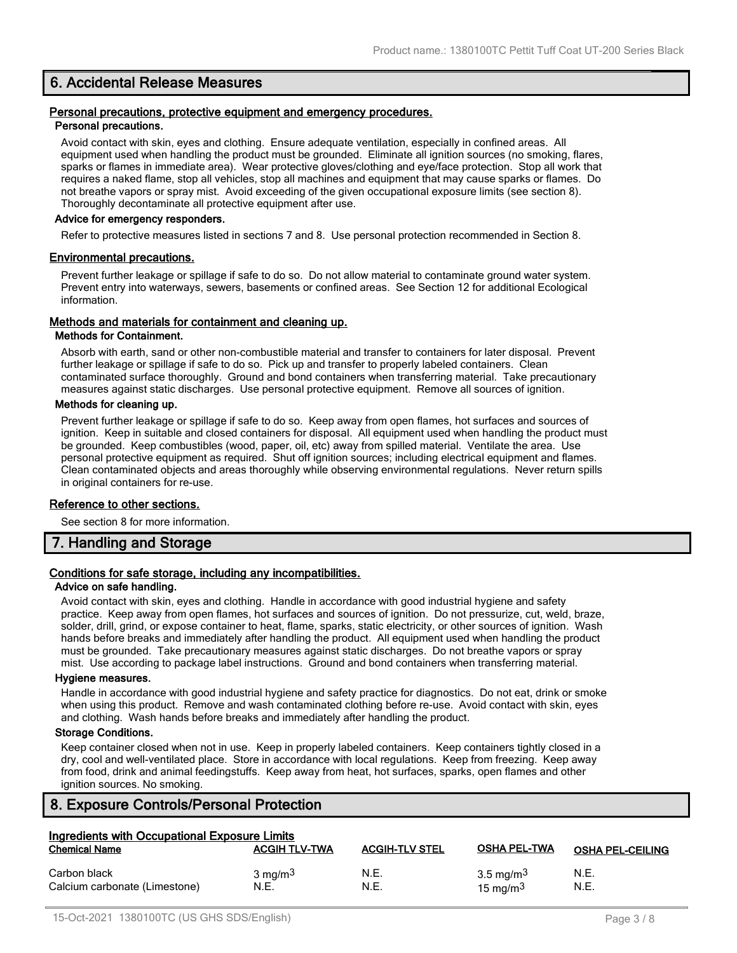## **6. Accidental Release Measures**

#### **Personal precautions, protective equipment and emergency procedures. Personal precautions.**

Avoid contact with skin, eyes and clothing. Ensure adequate ventilation, especially in confined areas. All equipment used when handling the product must be grounded. Eliminate all ignition sources (no smoking, flares, sparks or flames in immediate area). Wear protective gloves/clothing and eye/face protection. Stop all work that requires a naked flame, stop all vehicles, stop all machines and equipment that may cause sparks or flames. Do not breathe vapors or spray mist. Avoid exceeding of the given occupational exposure limits (see section 8). Thoroughly decontaminate all protective equipment after use.

#### **Advice for emergency responders.**

Refer to protective measures listed in sections 7 and 8. Use personal protection recommended in Section 8.

#### **Environmental precautions.**

Prevent further leakage or spillage if safe to do so. Do not allow material to contaminate ground water system. Prevent entry into waterways, sewers, basements or confined areas. See Section 12 for additional Ecological information.

#### **Methods and materials for containment and cleaning up.**

#### **Methods for Containment.**

Absorb with earth, sand or other non-combustible material and transfer to containers for later disposal. Prevent further leakage or spillage if safe to do so. Pick up and transfer to properly labeled containers. Clean contaminated surface thoroughly. Ground and bond containers when transferring material. Take precautionary measures against static discharges. Use personal protective equipment. Remove all sources of ignition.

#### **Methods for cleaning up.**

Prevent further leakage or spillage if safe to do so. Keep away from open flames, hot surfaces and sources of ignition. Keep in suitable and closed containers for disposal. All equipment used when handling the product must be grounded. Keep combustibles (wood, paper, oil, etc) away from spilled material. Ventilate the area. Use personal protective equipment as required. Shut off ignition sources; including electrical equipment and flames. Clean contaminated objects and areas thoroughly while observing environmental regulations. Never return spills in original containers for re-use.

#### **Reference to other sections.**

See section 8 for more information.

## **7. Handling and Storage**

## **Conditions for safe storage, including any incompatibilities.**

#### **Advice on safe handling.**

Avoid contact with skin, eyes and clothing. Handle in accordance with good industrial hygiene and safety practice. Keep away from open flames, hot surfaces and sources of ignition. Do not pressurize, cut, weld, braze, solder, drill, grind, or expose container to heat, flame, sparks, static electricity, or other sources of ignition. Wash hands before breaks and immediately after handling the product. All equipment used when handling the product must be grounded. Take precautionary measures against static discharges. Do not breathe vapors or spray mist. Use according to package label instructions. Ground and bond containers when transferring material.

#### **Hygiene measures.**

Handle in accordance with good industrial hygiene and safety practice for diagnostics. Do not eat, drink or smoke when using this product. Remove and wash contaminated clothing before re-use. Avoid contact with skin, eyes and clothing. Wash hands before breaks and immediately after handling the product.

#### **Storage Conditions.**

Keep container closed when not in use. Keep in properly labeled containers. Keep containers tightly closed in a dry, cool and well-ventilated place. Store in accordance with local regulations. Keep from freezing. Keep away from food, drink and animal feedingstuffs. Keep away from heat, hot surfaces, sparks, open flames and other ignition sources. No smoking.

## **8. Exposure Controls/Personal Protection**

| <b>Ingredients with Occupational Exposure Limits</b> |                            |                       |                                      |                         |  |  |
|------------------------------------------------------|----------------------------|-----------------------|--------------------------------------|-------------------------|--|--|
| <b>Chemical Name</b>                                 | <b>ACGIH TLV-TWA</b>       | <b>ACGIH-TLV STEL</b> | <b>OSHA PEL-TWA</b>                  | <b>OSHA PEL-CEILING</b> |  |  |
| Carbon black<br>Calcium carbonate (Limestone)        | $3 \text{ mg/m}^3$<br>N.E. | N.E.<br>N.E.          | 3.5 mg/m <sup>3</sup><br>15 mg/m $3$ | N.E.<br>N.E.            |  |  |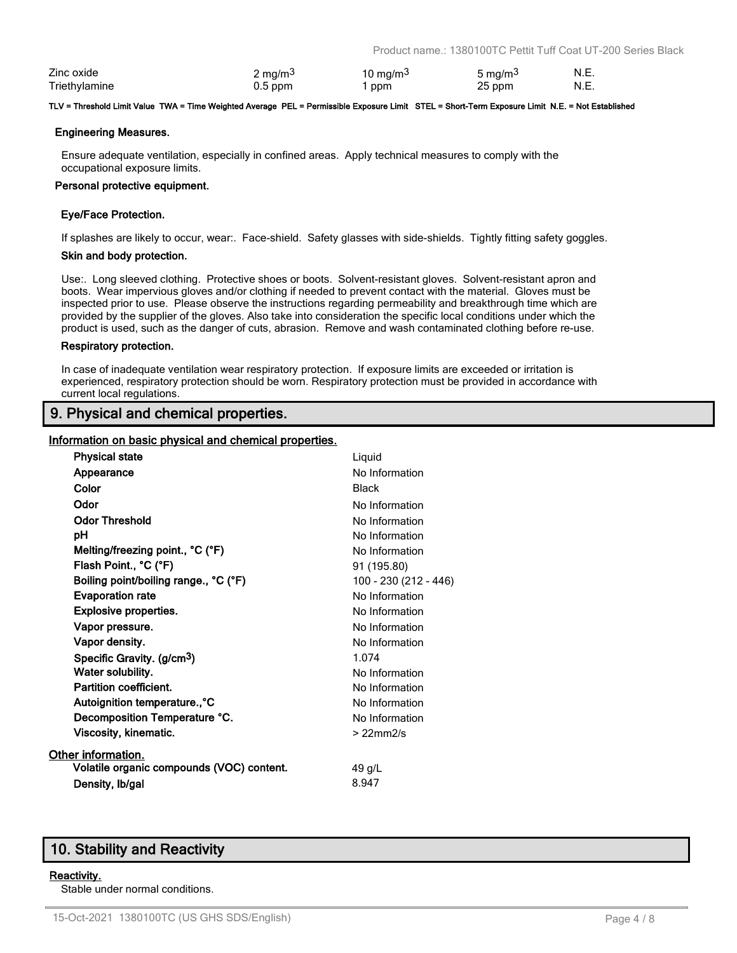| Zinc oxide    | ∠ mg/m <sup>3</sup> | 10 mg/m $3$ | 5 mg/m <sup>3</sup> | N.E. |
|---------------|---------------------|-------------|---------------------|------|
| Triethvlamine | $0.5$ ppm           | ppm         | 25 ppm              | N.E. |

#### **TLV = Threshold Limit Value TWA = Time Weighted Average PEL = Permissible Exposure Limit STEL = Short-Term Exposure Limit N.E. = Not Established**

#### **Engineering Measures.**

Ensure adequate ventilation, especially in confined areas. Apply technical measures to comply with the occupational exposure limits.

#### **Personal protective equipment.**

#### **Eye/Face Protection.**

If splashes are likely to occur, wear:. Face-shield. Safety glasses with side-shields. Tightly fitting safety goggles.

#### **Skin and body protection.**

Use:. Long sleeved clothing. Protective shoes or boots. Solvent-resistant gloves. Solvent-resistant apron and boots. Wear impervious gloves and/or clothing if needed to prevent contact with the material. Gloves must be inspected prior to use. Please observe the instructions regarding permeability and breakthrough time which are provided by the supplier of the gloves. Also take into consideration the specific local conditions under which the product is used, such as the danger of cuts, abrasion. Remove and wash contaminated clothing before re-use.

#### **Respiratory protection.**

In case of inadequate ventilation wear respiratory protection. If exposure limits are exceeded or irritation is experienced, respiratory protection should be worn. Respiratory protection must be provided in accordance with current local regulations.

## **9. Physical and chemical properties.**

#### **Information on basic physical and chemical properties.**

| <b>Physical state</b>                     | Liquid                |
|-------------------------------------------|-----------------------|
| Appearance                                | No Information        |
| Color                                     | <b>Black</b>          |
| Odor                                      | No Information        |
| <b>Odor Threshold</b>                     | No Information        |
| рH                                        | No Information        |
| Melting/freezing point., °C (°F)          | No Information        |
| Flash Point., °C (°F)                     | 91 (195.80)           |
| Boiling point/boiling range., °C (°F)     | 100 - 230 (212 - 446) |
| <b>Evaporation rate</b>                   | No Information        |
| <b>Explosive properties.</b>              | No Information        |
| Vapor pressure.                           | No Information        |
| Vapor density.                            | No Information        |
| Specific Gravity. (g/cm <sup>3</sup> )    | 1.074                 |
| Water solubility.                         | No Information        |
| Partition coefficient.                    | No Information        |
| Autoignition temperature., °C             | No Information        |
| Decomposition Temperature °C.             | No Information        |
| Viscosity, kinematic.                     | $>22$ mm $2/s$        |
| Other information.                        |                       |
| Volatile organic compounds (VOC) content. | 49 g/L                |
| Density, Ib/gal                           | 8.947                 |

## **10. Stability and Reactivity**

#### **Reactivity.**

Stable under normal conditions.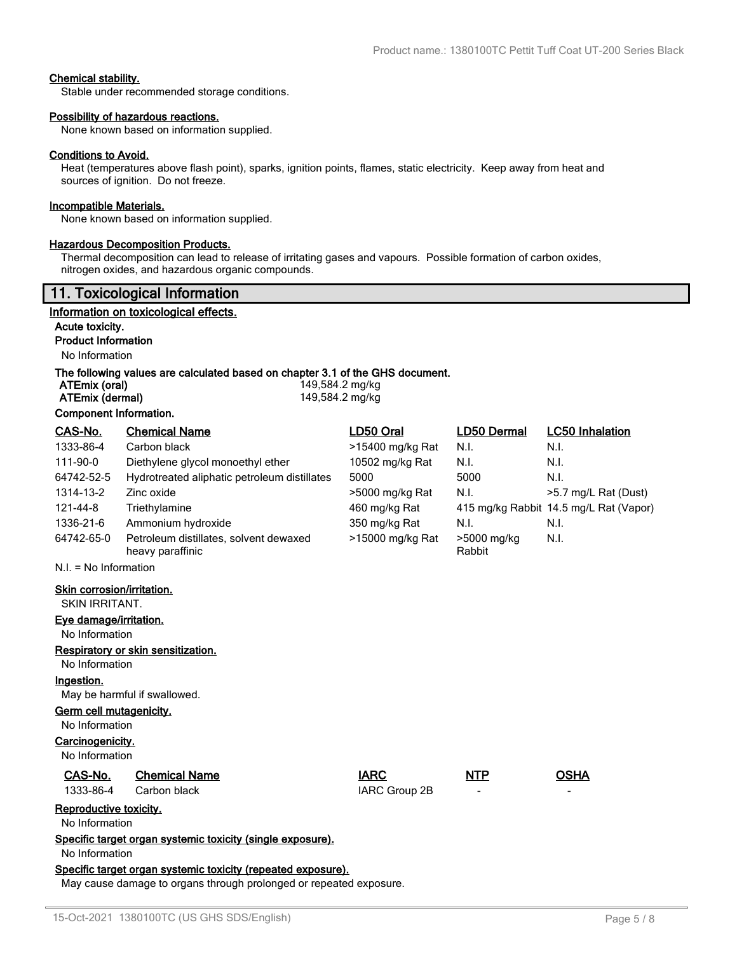### **Chemical stability.**

Stable under recommended storage conditions.

#### **Possibility of hazardous reactions.**

None known based on information supplied.

#### **Conditions to Avoid.**

Heat (temperatures above flash point), sparks, ignition points, flames, static electricity. Keep away from heat and sources of ignition. Do not freeze.

#### **Incompatible Materials.**

None known based on information supplied.

#### **Hazardous Decomposition Products.**

Thermal decomposition can lead to release of irritating gases and vapours. Possible formation of carbon oxides, nitrogen oxides, and hazardous organic compounds.

|                                                                    | 11. Toxicological Information                                                 |                                    |                  |                       |                                        |
|--------------------------------------------------------------------|-------------------------------------------------------------------------------|------------------------------------|------------------|-----------------------|----------------------------------------|
|                                                                    | Information on toxicological effects.                                         |                                    |                  |                       |                                        |
| Acute toxicity.                                                    |                                                                               |                                    |                  |                       |                                        |
| <b>Product Information</b>                                         |                                                                               |                                    |                  |                       |                                        |
| No Information                                                     |                                                                               |                                    |                  |                       |                                        |
| ATEmix (oral)<br>ATEmix (dermal)                                   | The following values are calculated based on chapter 3.1 of the GHS document. | 149,584.2 mg/kg<br>149,584.2 mg/kg |                  |                       |                                        |
| <b>Component Information.</b>                                      |                                                                               |                                    |                  |                       |                                        |
| CAS-No.                                                            | <b>Chemical Name</b>                                                          | LD50 Oral                          |                  | LD50 Dermal           | <b>LC50 Inhalation</b>                 |
| 1333-86-4                                                          | Carbon black                                                                  |                                    | >15400 mg/kg Rat | N.I.                  | N.I.                                   |
| 111-90-0                                                           | Diethylene glycol monoethyl ether                                             |                                    | 10502 mg/kg Rat  | N.I.                  | N.I.                                   |
| 64742-52-5                                                         | Hydrotreated aliphatic petroleum distillates                                  | 5000                               |                  | 5000                  | N.I.                                   |
| 1314-13-2                                                          | Zinc oxide                                                                    |                                    | >5000 mg/kg Rat  | N.I.                  | >5.7 mg/L Rat (Dust)                   |
| 121-44-8                                                           | Triethylamine                                                                 |                                    | 460 mg/kg Rat    |                       | 415 mg/kg Rabbit 14.5 mg/L Rat (Vapor) |
| 1336-21-6                                                          | Ammonium hydroxide                                                            |                                    | 350 mg/kg Rat    | N.I.                  | N.I.                                   |
| 64742-65-0                                                         | Petroleum distillates, solvent dewaxed<br>heavy paraffinic                    |                                    | >15000 mg/kg Rat | >5000 mg/kg<br>Rabbit | N.I.                                   |
| $N.I. = No$ Information                                            |                                                                               |                                    |                  |                       |                                        |
| Skin corrosion/irritation.<br>SKIN IRRITANT.                       |                                                                               |                                    |                  |                       |                                        |
| Eye damage/irritation.                                             |                                                                               |                                    |                  |                       |                                        |
| No Information                                                     |                                                                               |                                    |                  |                       |                                        |
|                                                                    | Respiratory or skin sensitization.                                            |                                    |                  |                       |                                        |
| No Information                                                     |                                                                               |                                    |                  |                       |                                        |
| Ingestion.                                                         |                                                                               |                                    |                  |                       |                                        |
|                                                                    | May be harmful if swallowed.                                                  |                                    |                  |                       |                                        |
| <b>Germ cell mutagenicity.</b><br>No Information                   |                                                                               |                                    |                  |                       |                                        |
| Carcinogenicity.<br>No Information                                 |                                                                               |                                    |                  |                       |                                        |
|                                                                    |                                                                               |                                    |                  |                       |                                        |
| CAS-No.<br>1333-86-4                                               | <b>Chemical Name</b><br>Carbon black                                          | <b>IARC</b>                        | IARC Group 2B    | <b>NTP</b>            | <b>OSHA</b>                            |
| Reproductive toxicity.<br>No Information                           |                                                                               |                                    |                  |                       |                                        |
| Specific target organ systemic toxicity (single exposure).         |                                                                               |                                    |                  |                       |                                        |
| No Information                                                     |                                                                               |                                    |                  |                       |                                        |
|                                                                    | Specific target organ systemic toxicity (repeated exposure).                  |                                    |                  |                       |                                        |
| May cause damage to organs through prolonged or repeated exposure. |                                                                               |                                    |                  |                       |                                        |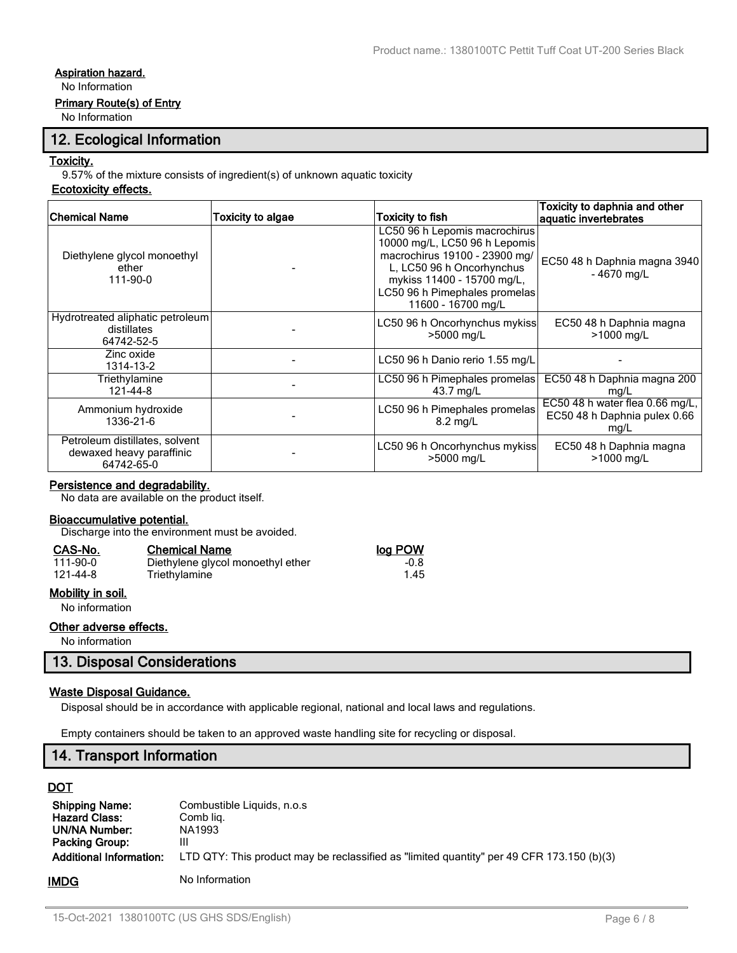## **Aspiration hazard.**

No Information

### **Primary Route(s) of Entry**

No Information

## **12. Ecological Information**

### **Toxicity.**

9.57% of the mixture consists of ingredient(s) of unknown aquatic toxicity

## **Ecotoxicity effects.**

| Chemical Name                                                            | Toxicity to algae | Toxicity to fish                                                                                                                                                                                                  | Toxicity to daphnia and other<br>aquatic invertebrates                  |
|--------------------------------------------------------------------------|-------------------|-------------------------------------------------------------------------------------------------------------------------------------------------------------------------------------------------------------------|-------------------------------------------------------------------------|
| Diethylene glycol monoethyl<br>ether<br>111-90-0                         |                   | LC50 96 h Lepomis macrochirus<br>10000 mg/L, LC50 96 h Lepomis<br>macrochirus 19100 - 23900 mg/<br>L, LC50 96 h Oncorhynchus<br>mykiss 11400 - 15700 mg/L,<br>LC50 96 h Pimephales promelas<br>11600 - 16700 mg/L | EC50 48 h Daphnia magna 3940<br>-4670 mg/L                              |
| Hydrotreated aliphatic petroleum<br>distillates<br>64742-52-5            |                   | LC50 96 h Oncorhynchus mykiss<br>>5000 mg/L                                                                                                                                                                       | EC50 48 h Daphnia magna<br>>1000 mg/L                                   |
| Zinc oxide<br>1314-13-2                                                  |                   | LC50 96 h Danio rerio 1.55 mg/L                                                                                                                                                                                   |                                                                         |
| Triethylamine<br>121-44-8                                                |                   | LC50 96 h Pimephales promelas<br>43.7 mg/L                                                                                                                                                                        | EC50 48 h Daphnia magna 200<br>mg/L                                     |
| Ammonium hydroxide<br>1336-21-6                                          |                   | LC50 96 h Pimephales promelas<br>$8.2 \text{ mg/L}$                                                                                                                                                               | EC50 48 h water flea 0.66 mg/L,<br>EC50 48 h Daphnia pulex 0.66<br>mg/L |
| Petroleum distillates, solvent<br>dewaxed heavy paraffinic<br>64742-65-0 |                   | LC50 96 h Oncorhynchus mykiss<br>>5000 mg/L                                                                                                                                                                       | EC50 48 h Daphnia magna<br>>1000 mg/L                                   |

## **Persistence and degradability.**

No data are available on the product itself.

#### **Bioaccumulative potential.**

Discharge into the environment must be avoided.

| CAS-No.        | <b>Chemical Name</b>              | log POW |
|----------------|-----------------------------------|---------|
| $111 - 90 - 0$ | Diethylene glycol monoethyl ether | $-0.8$  |
| 121-44-8       | Triethylamine                     | 1.45    |

## **Mobility in soil.**

No information

## **Other adverse effects.**

No information

## **13. Disposal Considerations**

## **Waste Disposal Guidance.**

Disposal should be in accordance with applicable regional, national and local laws and regulations.

Empty containers should be taken to an approved waste handling site for recycling or disposal.

## **14. Transport Information**

## **DOT**

| <b>Shipping Name:</b>          | Combustible Liquids, n.o.s                                                                |
|--------------------------------|-------------------------------------------------------------------------------------------|
| <b>Hazard Class:</b>           | Comb lig.                                                                                 |
| UN/NA Number:                  | NA1993                                                                                    |
| <b>Packing Group:</b>          | Ш                                                                                         |
| <b>Additional Information:</b> | LTD QTY: This product may be reclassified as "limited quantity" per 49 CFR 173.150 (b)(3) |
| IMDG                           | No Information                                                                            |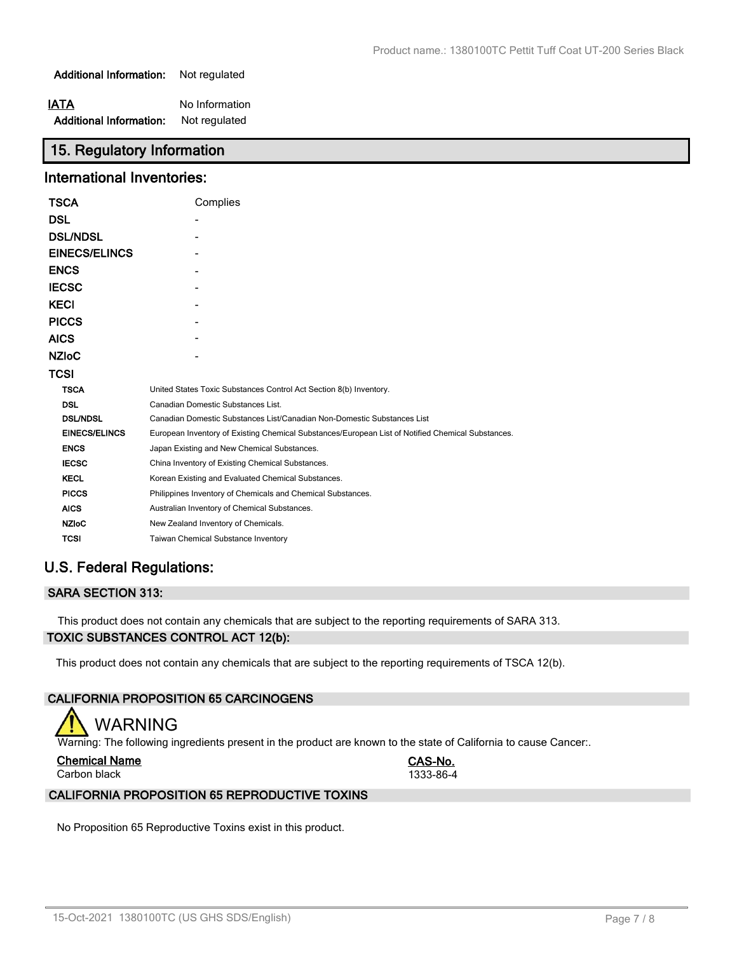**Additional Information:** Not regulated

| IATA                           | No Information |
|--------------------------------|----------------|
| <b>Additional Information:</b> | Not regulated  |

## **15. Regulatory Information**

## **International Inventories:**

| <b>TSCA</b>          | Complies                                                                                          |
|----------------------|---------------------------------------------------------------------------------------------------|
| <b>DSL</b>           |                                                                                                   |
| <b>DSL/NDSL</b>      |                                                                                                   |
| EINECS/ELINCS        |                                                                                                   |
| <b>ENCS</b>          |                                                                                                   |
| <b>IECSC</b>         |                                                                                                   |
| <b>KECI</b>          |                                                                                                   |
| <b>PICCS</b>         |                                                                                                   |
| <b>AICS</b>          |                                                                                                   |
| <b>NZIoC</b>         |                                                                                                   |
| TCSI                 |                                                                                                   |
| <b>TSCA</b>          | United States Toxic Substances Control Act Section 8(b) Inventory.                                |
| <b>DSL</b>           | Canadian Domestic Substances List.                                                                |
| <b>DSL/NDSL</b>      | Canadian Domestic Substances List/Canadian Non-Domestic Substances List                           |
| <b>EINECS/ELINCS</b> | European Inventory of Existing Chemical Substances/European List of Notified Chemical Substances. |
| <b>ENCS</b>          | Japan Existing and New Chemical Substances.                                                       |
| <b>IECSC</b>         | China Inventory of Existing Chemical Substances.                                                  |
| <b>KECL</b>          | Korean Existing and Evaluated Chemical Substances.                                                |
| <b>PICCS</b>         | Philippines Inventory of Chemicals and Chemical Substances.                                       |
| <b>AICS</b>          | Australian Inventory of Chemical Substances.                                                      |
| <b>NZIoC</b>         | New Zealand Inventory of Chemicals.                                                               |
| <b>TCSI</b>          | Taiwan Chemical Substance Inventory                                                               |

## **U.S. Federal Regulations:**

## **SARA SECTION 313:**

This product does not contain any chemicals that are subject to the reporting requirements of SARA 313.

## **TOXIC SUBSTANCES CONTROL ACT 12(b):**

This product does not contain any chemicals that are subject to the reporting requirements of TSCA 12(b).

## **CALIFORNIA PROPOSITION 65 CARCINOGENS**

# WARNING

Warning: The following ingredients present in the product are known to the state of California to cause Cancer:.

|  | <b>Chemical Name</b> |  |
|--|----------------------|--|
|  |                      |  |

**Chemical Name CAS-No.** Carbon black 1333-86-4

## **CALIFORNIA PROPOSITION 65 REPRODUCTIVE TOXINS**

No Proposition 65 Reproductive Toxins exist in this product.